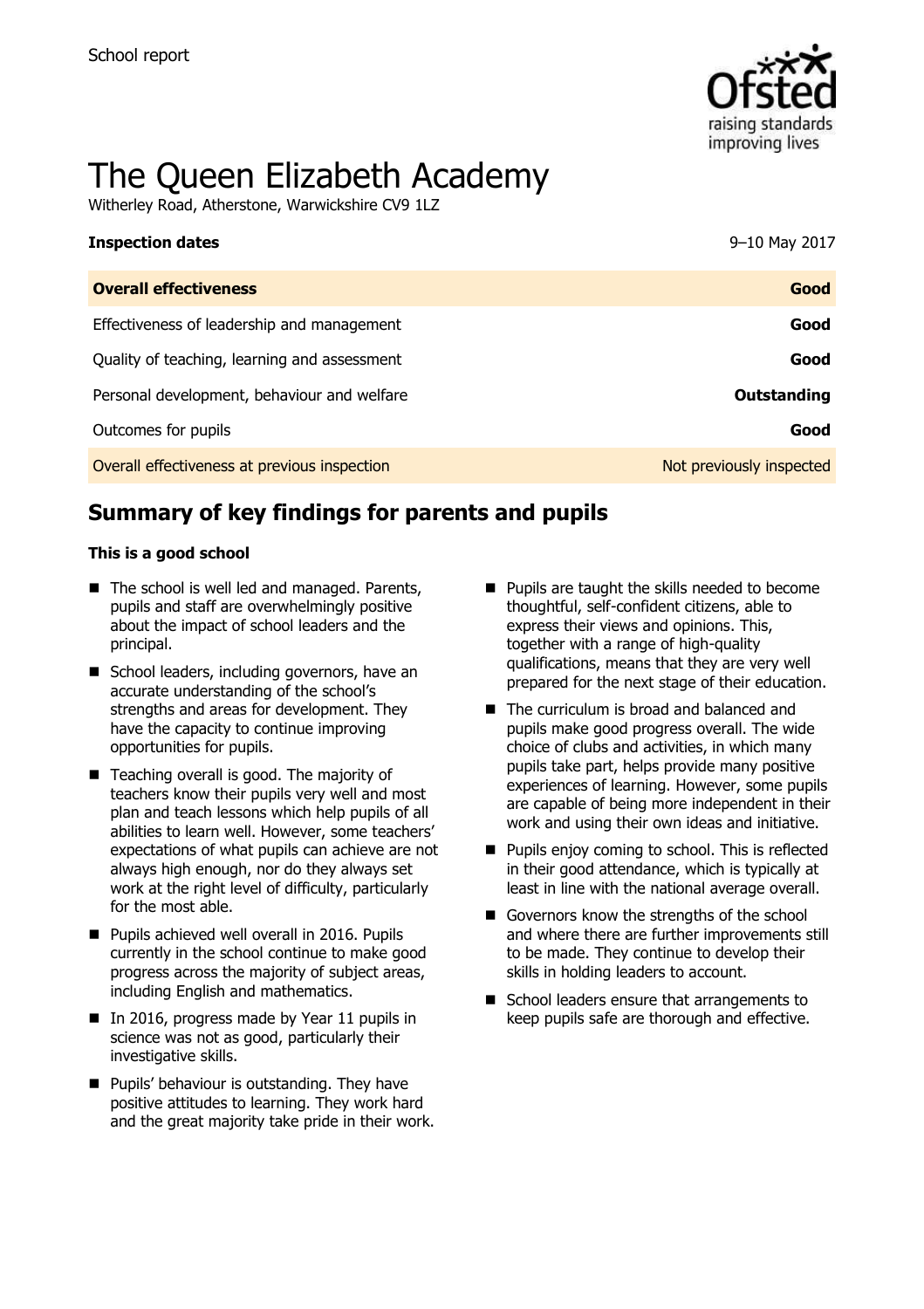

# The Queen Elizabeth Academy

Witherley Road, Atherstone, Warwickshire CV9 1LZ

| <b>Inspection dates</b>                      | 9-10 May 2017            |
|----------------------------------------------|--------------------------|
| <b>Overall effectiveness</b>                 | Good                     |
| Effectiveness of leadership and management   | Good                     |
| Quality of teaching, learning and assessment | Good                     |
| Personal development, behaviour and welfare  | Outstanding              |
| Outcomes for pupils                          | Good                     |
| Overall effectiveness at previous inspection | Not previously inspected |

# **Summary of key findings for parents and pupils**

#### **This is a good school**

- The school is well led and managed. Parents, pupils and staff are overwhelmingly positive about the impact of school leaders and the principal.
- School leaders, including governors, have an accurate understanding of the school's strengths and areas for development. They have the capacity to continue improving opportunities for pupils.
- Teaching overall is good. The majority of teachers know their pupils very well and most plan and teach lessons which help pupils of all abilities to learn well. However, some teachers' expectations of what pupils can achieve are not always high enough, nor do they always set work at the right level of difficulty, particularly for the most able.
- **Pupils achieved well overall in 2016. Pupils** currently in the school continue to make good progress across the majority of subject areas, including English and mathematics.
- In 2016, progress made by Year 11 pupils in science was not as good, particularly their investigative skills.
- **Pupils' behaviour is outstanding. They have** positive attitudes to learning. They work hard and the great majority take pride in their work.
- **Pupils are taught the skills needed to become** thoughtful, self-confident citizens, able to express their views and opinions. This, together with a range of high-quality qualifications, means that they are very well prepared for the next stage of their education.
- The curriculum is broad and balanced and pupils make good progress overall. The wide choice of clubs and activities, in which many pupils take part, helps provide many positive experiences of learning. However, some pupils are capable of being more independent in their work and using their own ideas and initiative.
- **Pupils enjoy coming to school. This is reflected** in their good attendance, which is typically at least in line with the national average overall.
- Governors know the strengths of the school and where there are further improvements still to be made. They continue to develop their skills in holding leaders to account.
- School leaders ensure that arrangements to keep pupils safe are thorough and effective.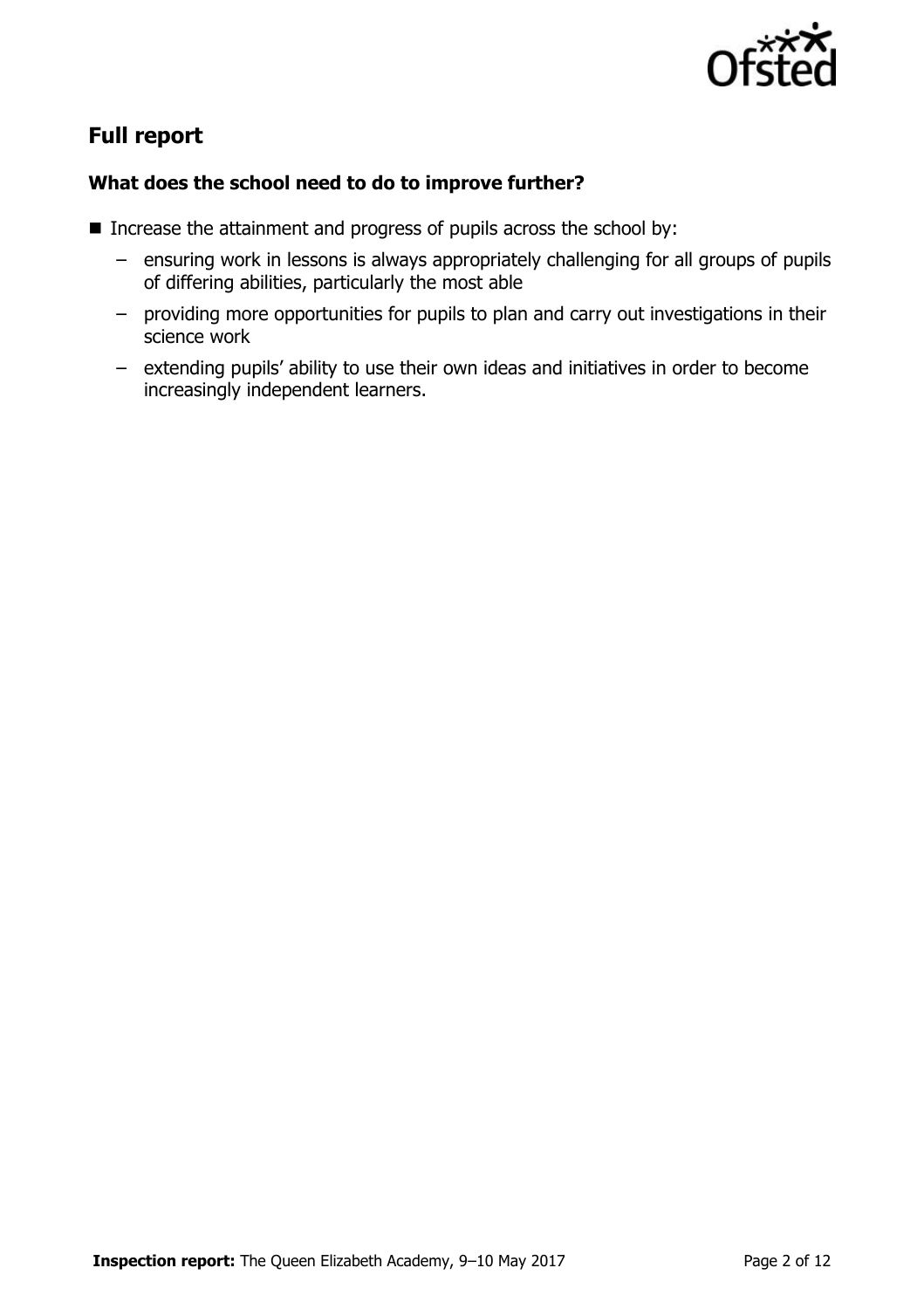

# **Full report**

#### **What does the school need to do to improve further?**

- Increase the attainment and progress of pupils across the school by:
	- ensuring work in lessons is always appropriately challenging for all groups of pupils of differing abilities, particularly the most able
	- providing more opportunities for pupils to plan and carry out investigations in their science work
	- extending pupils' ability to use their own ideas and initiatives in order to become increasingly independent learners.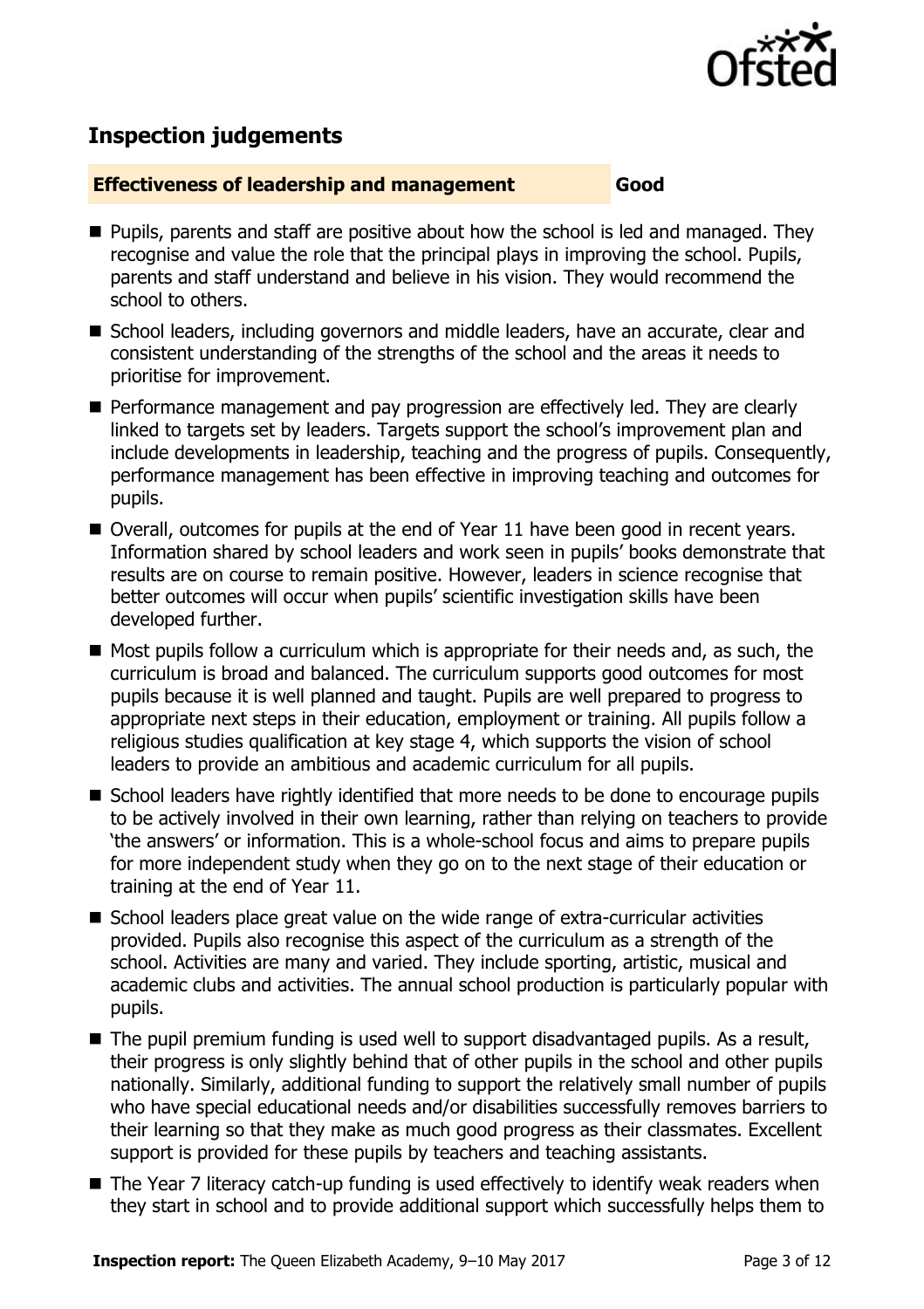

# **Inspection judgements**

#### **Effectiveness of leadership and management Good**

- **Pupils, parents and staff are positive about how the school is led and managed. They** recognise and value the role that the principal plays in improving the school. Pupils, parents and staff understand and believe in his vision. They would recommend the school to others.
- School leaders, including governors and middle leaders, have an accurate, clear and consistent understanding of the strengths of the school and the areas it needs to prioritise for improvement.
- **Performance management and pay progression are effectively led. They are clearly** linked to targets set by leaders. Targets support the school's improvement plan and include developments in leadership, teaching and the progress of pupils. Consequently, performance management has been effective in improving teaching and outcomes for pupils.
- Overall, outcomes for pupils at the end of Year 11 have been good in recent vears. Information shared by school leaders and work seen in pupils' books demonstrate that results are on course to remain positive. However, leaders in science recognise that better outcomes will occur when pupils' scientific investigation skills have been developed further.
- $\blacksquare$  Most pupils follow a curriculum which is appropriate for their needs and, as such, the curriculum is broad and balanced. The curriculum supports good outcomes for most pupils because it is well planned and taught. Pupils are well prepared to progress to appropriate next steps in their education, employment or training. All pupils follow a religious studies qualification at key stage 4, which supports the vision of school leaders to provide an ambitious and academic curriculum for all pupils.
- School leaders have rightly identified that more needs to be done to encourage pupils to be actively involved in their own learning, rather than relying on teachers to provide 'the answers' or information. This is a whole-school focus and aims to prepare pupils for more independent study when they go on to the next stage of their education or training at the end of Year 11.
- School leaders place great value on the wide range of extra-curricular activities provided. Pupils also recognise this aspect of the curriculum as a strength of the school. Activities are many and varied. They include sporting, artistic, musical and academic clubs and activities. The annual school production is particularly popular with pupils.
- The pupil premium funding is used well to support disadvantaged pupils. As a result, their progress is only slightly behind that of other pupils in the school and other pupils nationally. Similarly, additional funding to support the relatively small number of pupils who have special educational needs and/or disabilities successfully removes barriers to their learning so that they make as much good progress as their classmates. Excellent support is provided for these pupils by teachers and teaching assistants.
- The Year 7 literacy catch-up funding is used effectively to identify weak readers when they start in school and to provide additional support which successfully helps them to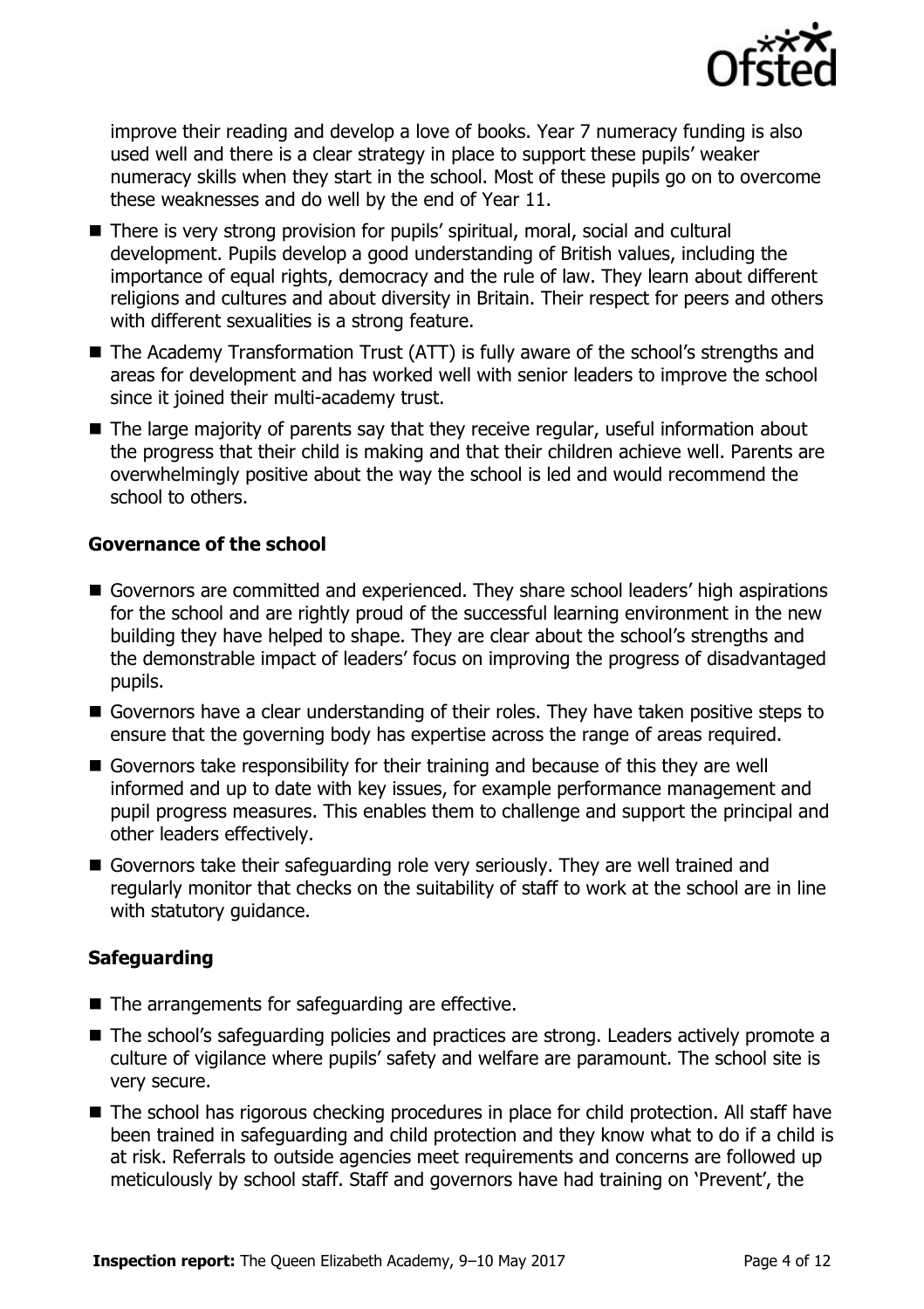

improve their reading and develop a love of books. Year 7 numeracy funding is also used well and there is a clear strategy in place to support these pupils' weaker numeracy skills when they start in the school. Most of these pupils go on to overcome these weaknesses and do well by the end of Year 11.

- There is very strong provision for pupils' spiritual, moral, social and cultural development. Pupils develop a good understanding of British values, including the importance of equal rights, democracy and the rule of law. They learn about different religions and cultures and about diversity in Britain. Their respect for peers and others with different sexualities is a strong feature.
- The Academy Transformation Trust (ATT) is fully aware of the school's strengths and areas for development and has worked well with senior leaders to improve the school since it joined their multi-academy trust.
- The large majority of parents say that they receive regular, useful information about the progress that their child is making and that their children achieve well. Parents are overwhelmingly positive about the way the school is led and would recommend the school to others.

#### **Governance of the school**

- Governors are committed and experienced. They share school leaders' high aspirations for the school and are rightly proud of the successful learning environment in the new building they have helped to shape. They are clear about the school's strengths and the demonstrable impact of leaders' focus on improving the progress of disadvantaged pupils.
- Governors have a clear understanding of their roles. They have taken positive steps to ensure that the governing body has expertise across the range of areas required.
- Governors take responsibility for their training and because of this they are well informed and up to date with key issues, for example performance management and pupil progress measures. This enables them to challenge and support the principal and other leaders effectively.
- Governors take their safeguarding role very seriously. They are well trained and regularly monitor that checks on the suitability of staff to work at the school are in line with statutory guidance.

### **Safeguarding**

- $\blacksquare$  The arrangements for safeguarding are effective.
- The school's safeguarding policies and practices are strong. Leaders actively promote a culture of vigilance where pupils' safety and welfare are paramount. The school site is very secure.
- The school has rigorous checking procedures in place for child protection. All staff have been trained in safeguarding and child protection and they know what to do if a child is at risk. Referrals to outside agencies meet requirements and concerns are followed up meticulously by school staff. Staff and governors have had training on 'Prevent', the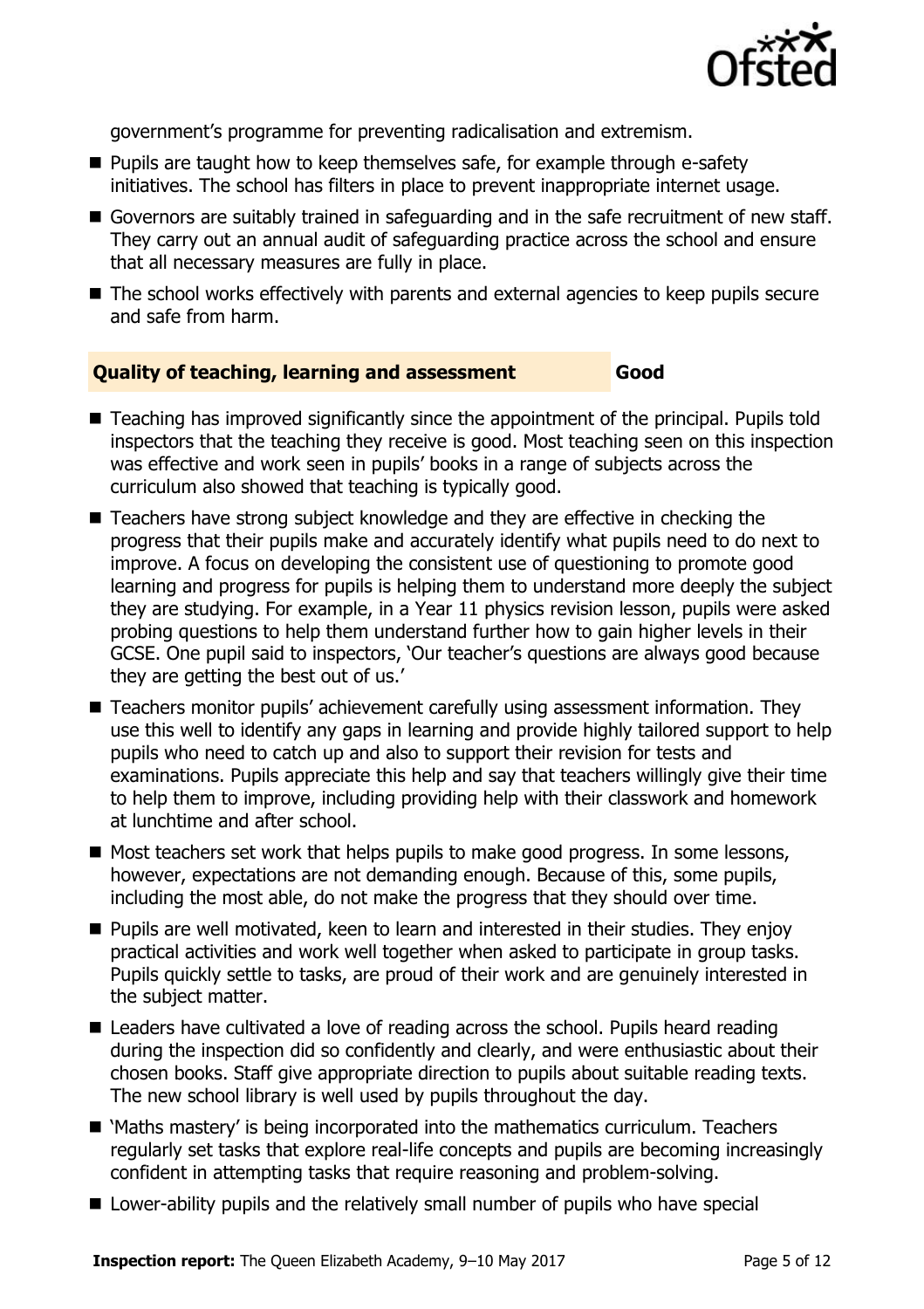

government's programme for preventing radicalisation and extremism.

- **Pupils are taught how to keep themselves safe, for example through e-safety** initiatives. The school has filters in place to prevent inappropriate internet usage.
- Governors are suitably trained in safeguarding and in the safe recruitment of new staff. They carry out an annual audit of safeguarding practice across the school and ensure that all necessary measures are fully in place.
- The school works effectively with parents and external agencies to keep pupils secure and safe from harm.

#### **Quality of teaching, learning and assessment Good**

- Teaching has improved significantly since the appointment of the principal. Pupils told inspectors that the teaching they receive is good. Most teaching seen on this inspection was effective and work seen in pupils' books in a range of subjects across the curriculum also showed that teaching is typically good.
- Teachers have strong subject knowledge and they are effective in checking the progress that their pupils make and accurately identify what pupils need to do next to improve. A focus on developing the consistent use of questioning to promote good learning and progress for pupils is helping them to understand more deeply the subject they are studying. For example, in a Year 11 physics revision lesson, pupils were asked probing questions to help them understand further how to gain higher levels in their GCSE. One pupil said to inspectors, 'Our teacher's questions are always good because they are getting the best out of us.'
- Teachers monitor pupils' achievement carefully using assessment information. They use this well to identify any gaps in learning and provide highly tailored support to help pupils who need to catch up and also to support their revision for tests and examinations. Pupils appreciate this help and say that teachers willingly give their time to help them to improve, including providing help with their classwork and homework at lunchtime and after school.
- $\blacksquare$  Most teachers set work that helps pupils to make good progress. In some lessons, however, expectations are not demanding enough. Because of this, some pupils, including the most able, do not make the progress that they should over time.
- **Pupils are well motivated, keen to learn and interested in their studies. They enjoy** practical activities and work well together when asked to participate in group tasks. Pupils quickly settle to tasks, are proud of their work and are genuinely interested in the subject matter.
- Leaders have cultivated a love of reading across the school. Pupils heard reading during the inspection did so confidently and clearly, and were enthusiastic about their chosen books. Staff give appropriate direction to pupils about suitable reading texts. The new school library is well used by pupils throughout the day.
- 'Maths mastery' is being incorporated into the mathematics curriculum. Teachers regularly set tasks that explore real-life concepts and pupils are becoming increasingly confident in attempting tasks that require reasoning and problem-solving.
- Lower-ability pupils and the relatively small number of pupils who have special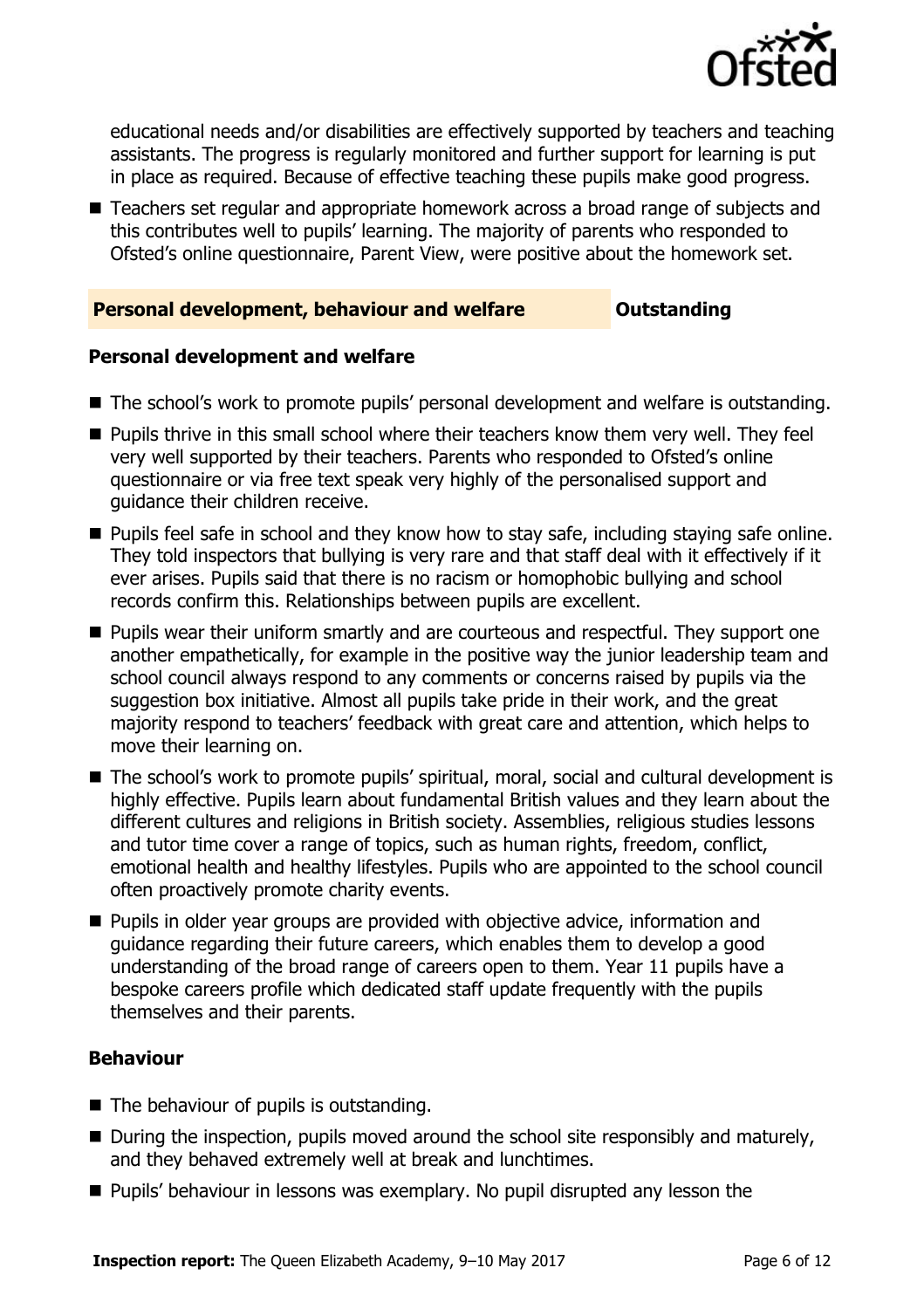

educational needs and/or disabilities are effectively supported by teachers and teaching assistants. The progress is regularly monitored and further support for learning is put in place as required. Because of effective teaching these pupils make good progress.

■ Teachers set regular and appropriate homework across a broad range of subjects and this contributes well to pupils' learning. The majority of parents who responded to Ofsted's online questionnaire, Parent View, were positive about the homework set.

#### **Personal development, behaviour and welfare <b>COULTS** Outstanding

#### **Personal development and welfare**

- The school's work to promote pupils' personal development and welfare is outstanding.
- **Pupils thrive in this small school where their teachers know them very well. They feel** very well supported by their teachers. Parents who responded to Ofsted's online questionnaire or via free text speak very highly of the personalised support and guidance their children receive.
- **Pupils feel safe in school and they know how to stay safe, including staying safe online.** They told inspectors that bullying is very rare and that staff deal with it effectively if it ever arises. Pupils said that there is no racism or homophobic bullying and school records confirm this. Relationships between pupils are excellent.
- **Pupils wear their uniform smartly and are courteous and respectful. They support one** another empathetically, for example in the positive way the junior leadership team and school council always respond to any comments or concerns raised by pupils via the suggestion box initiative. Almost all pupils take pride in their work, and the great majority respond to teachers' feedback with great care and attention, which helps to move their learning on.
- The school's work to promote pupils' spiritual, moral, social and cultural development is highly effective. Pupils learn about fundamental British values and they learn about the different cultures and religions in British society. Assemblies, religious studies lessons and tutor time cover a range of topics, such as human rights, freedom, conflict, emotional health and healthy lifestyles. Pupils who are appointed to the school council often proactively promote charity events.
- **Pupils in older year groups are provided with objective advice, information and** guidance regarding their future careers, which enables them to develop a good understanding of the broad range of careers open to them. Year 11 pupils have a bespoke careers profile which dedicated staff update frequently with the pupils themselves and their parents.

#### **Behaviour**

- The behaviour of pupils is outstanding.
- $\blacksquare$  During the inspection, pupils moved around the school site responsibly and maturely, and they behaved extremely well at break and lunchtimes.
- **Pupils' behaviour in lessons was exemplary. No pupil disrupted any lesson the**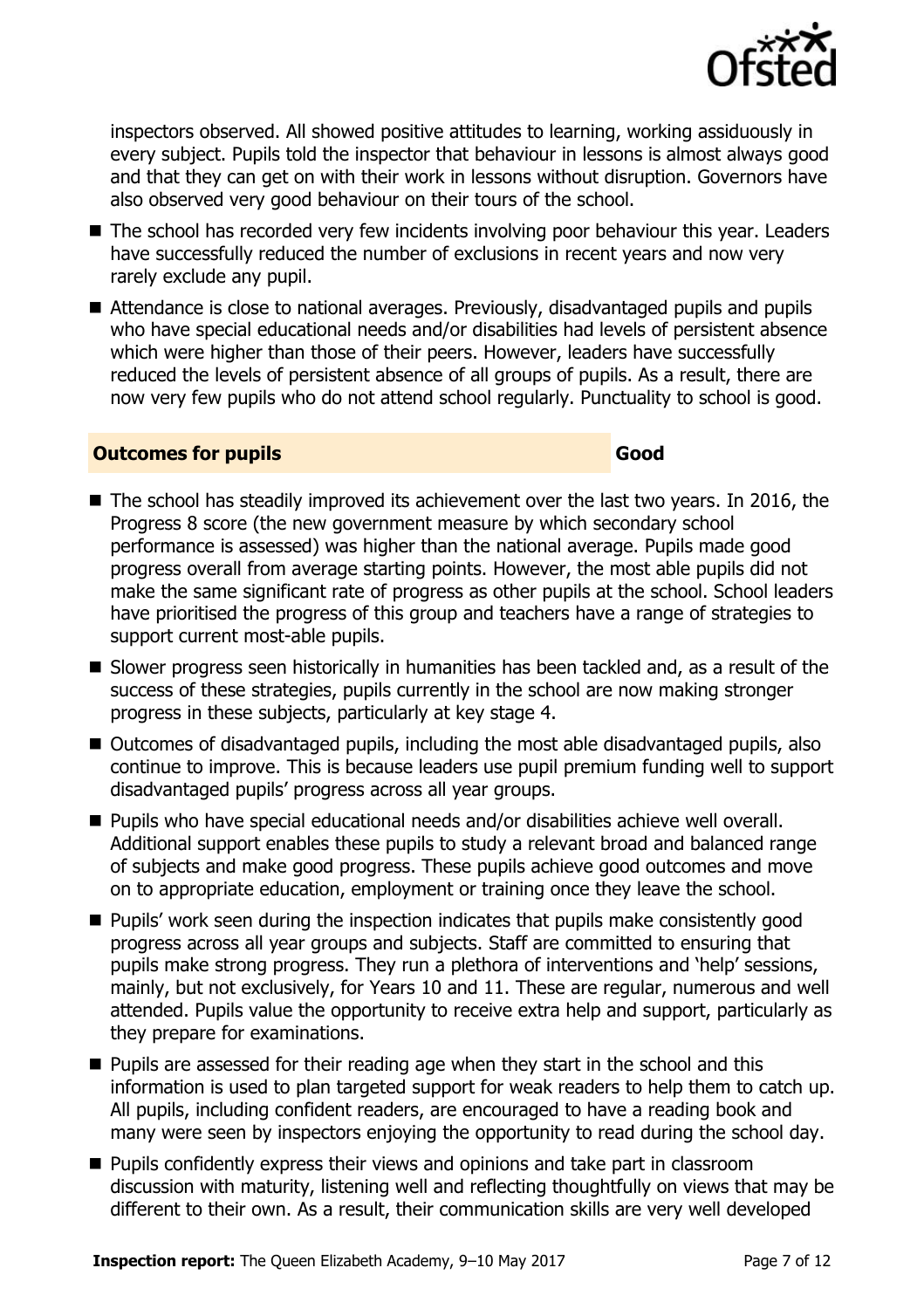

inspectors observed. All showed positive attitudes to learning, working assiduously in every subject. Pupils told the inspector that behaviour in lessons is almost always good and that they can get on with their work in lessons without disruption. Governors have also observed very good behaviour on their tours of the school.

- The school has recorded very few incidents involving poor behaviour this year. Leaders have successfully reduced the number of exclusions in recent years and now very rarely exclude any pupil.
- Attendance is close to national averages. Previously, disadvantaged pupils and pupils who have special educational needs and/or disabilities had levels of persistent absence which were higher than those of their peers. However, leaders have successfully reduced the levels of persistent absence of all groups of pupils. As a result, there are now very few pupils who do not attend school regularly. Punctuality to school is good.

#### **Outcomes for pupils Good**

- The school has steadily improved its achievement over the last two years. In 2016, the Progress 8 score (the new government measure by which secondary school performance is assessed) was higher than the national average. Pupils made good progress overall from average starting points. However, the most able pupils did not make the same significant rate of progress as other pupils at the school. School leaders have prioritised the progress of this group and teachers have a range of strategies to support current most-able pupils.
- Slower progress seen historically in humanities has been tackled and, as a result of the success of these strategies, pupils currently in the school are now making stronger progress in these subjects, particularly at key stage 4.
- Outcomes of disadvantaged pupils, including the most able disadvantaged pupils, also continue to improve. This is because leaders use pupil premium funding well to support disadvantaged pupils' progress across all year groups.
- Pupils who have special educational needs and/or disabilities achieve well overall. Additional support enables these pupils to study a relevant broad and balanced range of subjects and make good progress. These pupils achieve good outcomes and move on to appropriate education, employment or training once they leave the school.
- **Pupils' work seen during the inspection indicates that pupils make consistently good** progress across all year groups and subjects. Staff are committed to ensuring that pupils make strong progress. They run a plethora of interventions and 'help' sessions, mainly, but not exclusively, for Years 10 and 11. These are regular, numerous and well attended. Pupils value the opportunity to receive extra help and support, particularly as they prepare for examinations.
- **Pupils are assessed for their reading age when they start in the school and this** information is used to plan targeted support for weak readers to help them to catch up. All pupils, including confident readers, are encouraged to have a reading book and many were seen by inspectors enjoying the opportunity to read during the school day.
- **Pupils confidently express their views and opinions and take part in classroom** discussion with maturity, listening well and reflecting thoughtfully on views that may be different to their own. As a result, their communication skills are very well developed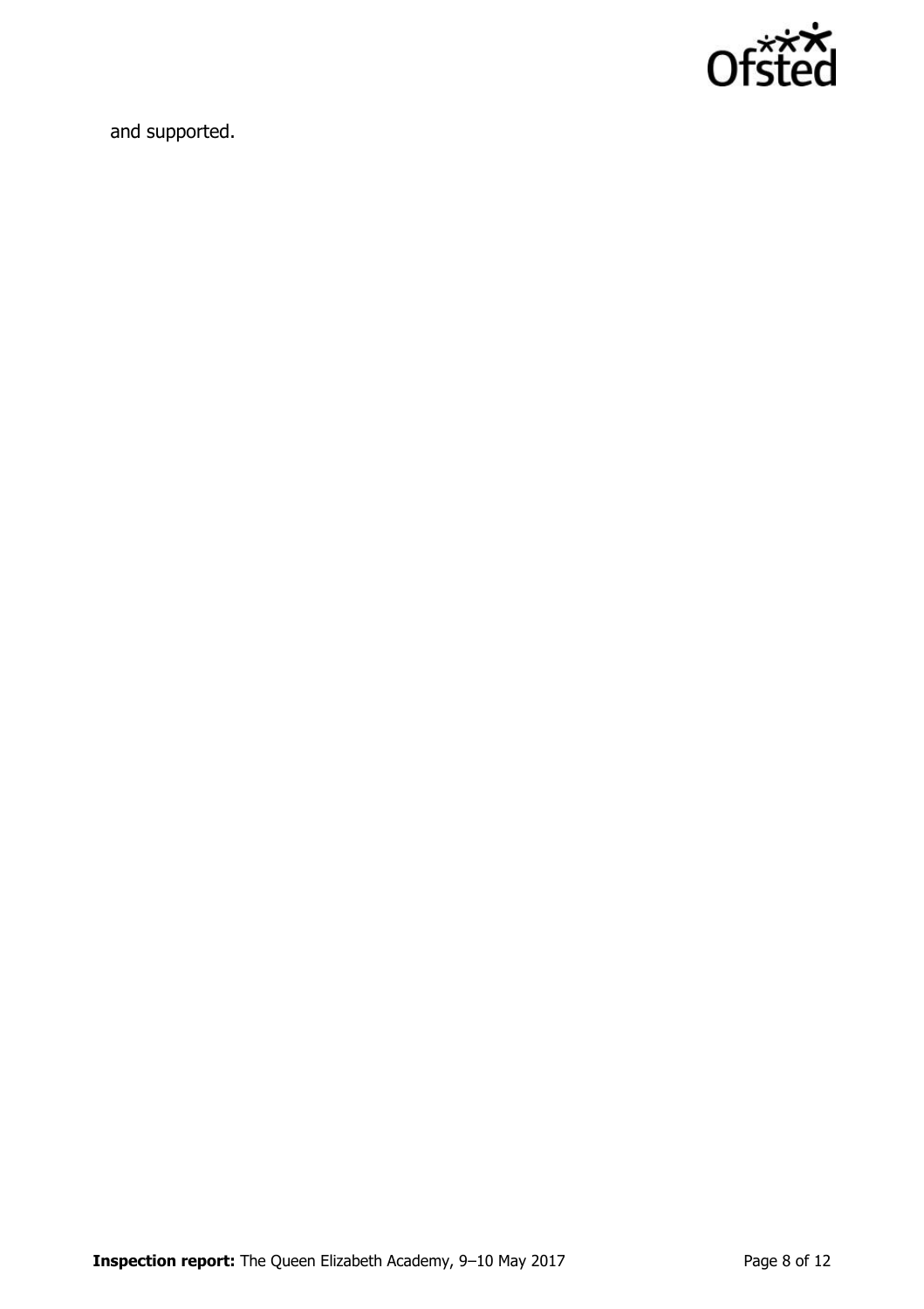

and supported.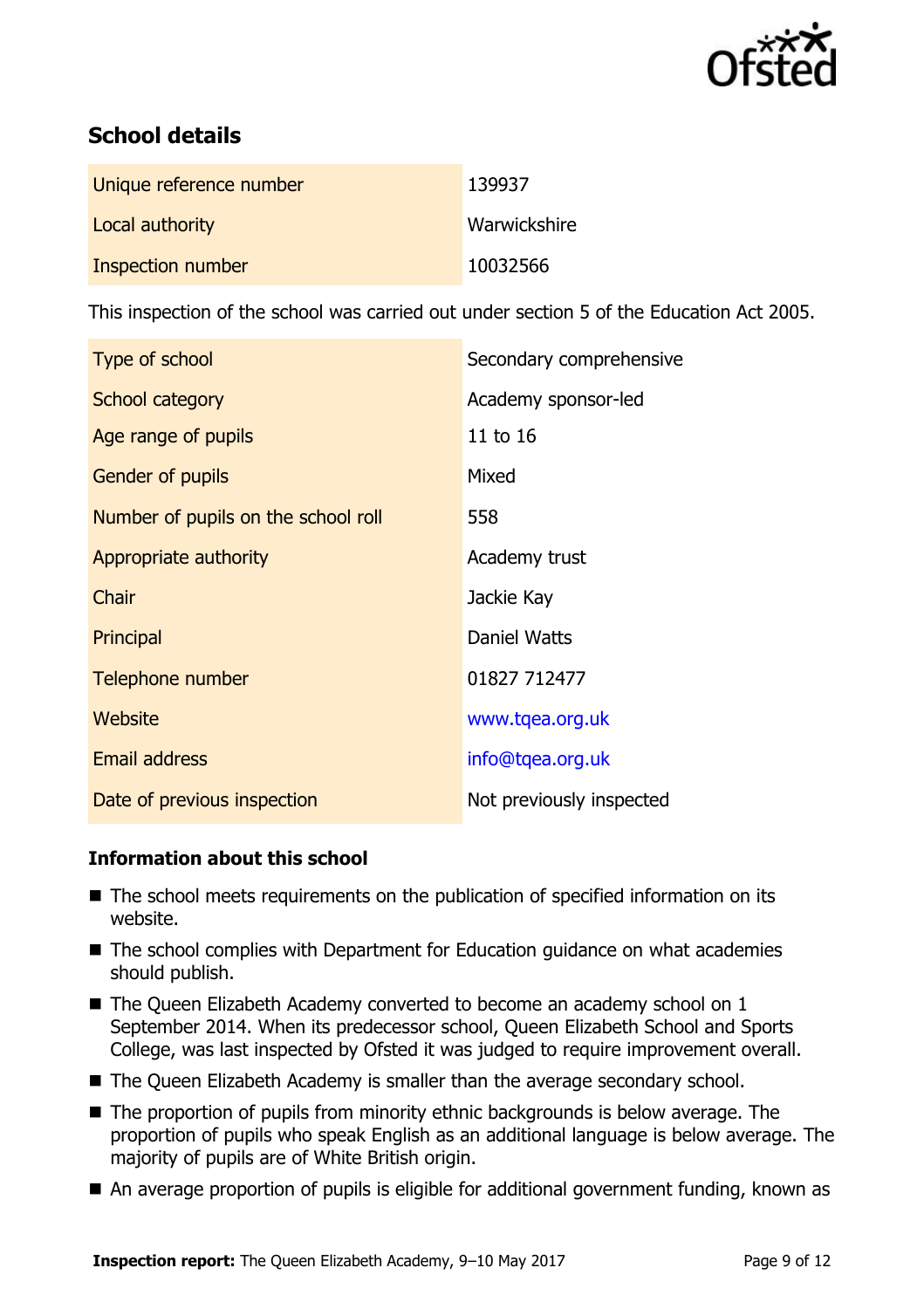

# **School details**

| Unique reference number | 139937       |
|-------------------------|--------------|
| Local authority         | Warwickshire |
| Inspection number       | 10032566     |

This inspection of the school was carried out under section 5 of the Education Act 2005.

| Type of school                      | Secondary comprehensive  |
|-------------------------------------|--------------------------|
| School category                     | Academy sponsor-led      |
| Age range of pupils                 | 11 to 16                 |
| <b>Gender of pupils</b>             | Mixed                    |
| Number of pupils on the school roll | 558                      |
| Appropriate authority               | Academy trust            |
| Chair                               | Jackie Kay               |
| Principal                           | Daniel Watts             |
| Telephone number                    | 01827 712477             |
| Website                             | www.tqea.org.uk          |
| <b>Email address</b>                | info@tqea.org.uk         |
| Date of previous inspection         | Not previously inspected |

#### **Information about this school**

- The school meets requirements on the publication of specified information on its website.
- The school complies with Department for Education guidance on what academies should publish.
- The Queen Elizabeth Academy converted to become an academy school on 1 September 2014. When its predecessor school, Queen Elizabeth School and Sports College, was last inspected by Ofsted it was judged to require improvement overall.
- The Queen Elizabeth Academy is smaller than the average secondary school.
- The proportion of pupils from minority ethnic backgrounds is below average. The proportion of pupils who speak English as an additional language is below average. The majority of pupils are of White British origin.
- An average proportion of pupils is eligible for additional government funding, known as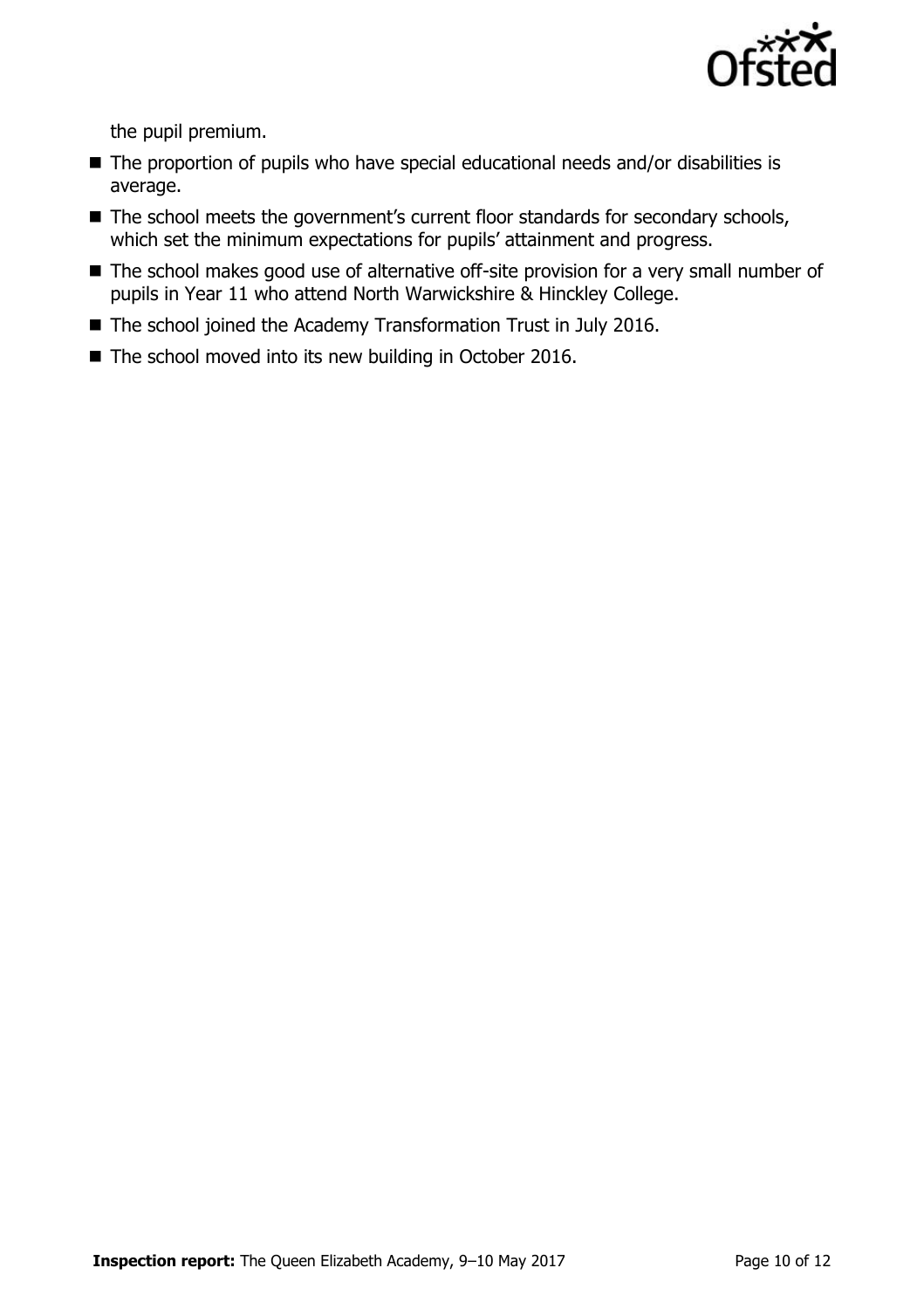

the pupil premium.

- The proportion of pupils who have special educational needs and/or disabilities is average.
- The school meets the government's current floor standards for secondary schools, which set the minimum expectations for pupils' attainment and progress.
- The school makes good use of alternative off-site provision for a very small number of pupils in Year 11 who attend North Warwickshire & Hinckley College.
- The school joined the Academy Transformation Trust in July 2016.
- The school moved into its new building in October 2016.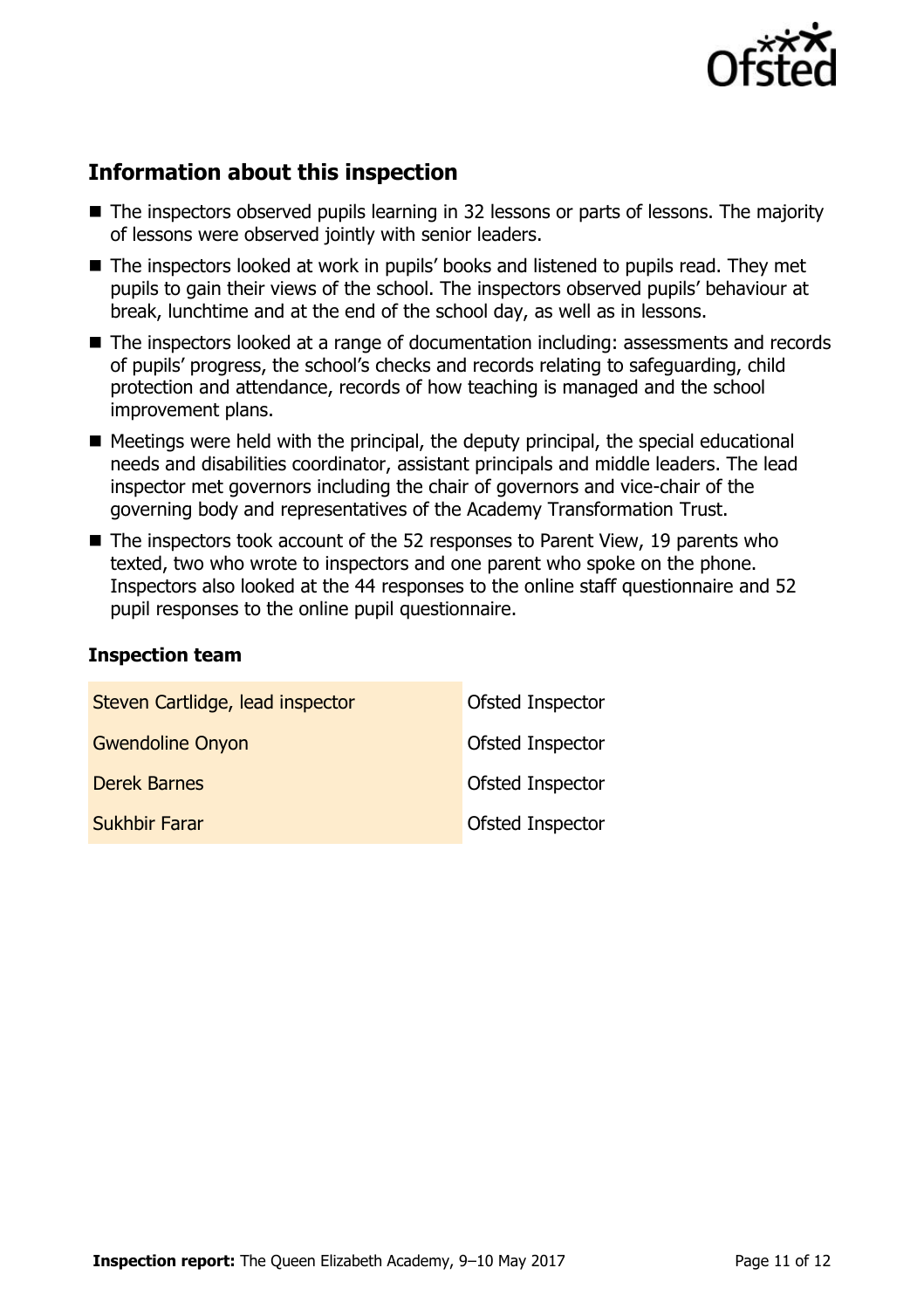

# **Information about this inspection**

- The inspectors observed pupils learning in 32 lessons or parts of lessons. The majority of lessons were observed jointly with senior leaders.
- The inspectors looked at work in pupils' books and listened to pupils read. They met pupils to gain their views of the school. The inspectors observed pupils' behaviour at break, lunchtime and at the end of the school day, as well as in lessons.
- The inspectors looked at a range of documentation including: assessments and records of pupils' progress, the school's checks and records relating to safeguarding, child protection and attendance, records of how teaching is managed and the school improvement plans.
- $\blacksquare$  Meetings were held with the principal, the deputy principal, the special educational needs and disabilities coordinator, assistant principals and middle leaders. The lead inspector met governors including the chair of governors and vice-chair of the governing body and representatives of the Academy Transformation Trust.
- The inspectors took account of the 52 responses to Parent View, 19 parents who texted, two who wrote to inspectors and one parent who spoke on the phone. Inspectors also looked at the 44 responses to the online staff questionnaire and 52 pupil responses to the online pupil questionnaire.

#### **Inspection team**

| Steven Cartlidge, lead inspector | Ofsted Inspector |
|----------------------------------|------------------|
| <b>Gwendoline Onyon</b>          | Ofsted Inspector |
| <b>Derek Barnes</b>              | Ofsted Inspector |
| <b>Sukhbir Farar</b>             | Ofsted Inspector |